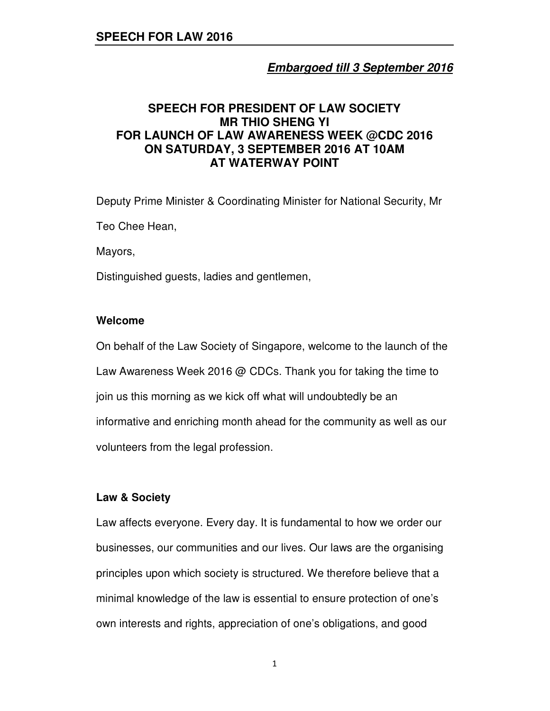# **Embargoed till 3 September 2016**

# **SPEECH FOR PRESIDENT OF LAW SOCIETY MR THIO SHENG YI FOR LAUNCH OF LAW AWARENESS WEEK @CDC 2016 ON SATURDAY, 3 SEPTEMBER 2016 AT 10AM AT WATERWAY POINT**

Deputy Prime Minister & Coordinating Minister for National Security, Mr Teo Chee Hean,

Mayors,

Distinguished guests, ladies and gentlemen,

### **Welcome**

On behalf of the Law Society of Singapore, welcome to the launch of the Law Awareness Week 2016 @ CDCs. Thank you for taking the time to join us this morning as we kick off what will undoubtedly be an informative and enriching month ahead for the community as well as our volunteers from the legal profession.

### **Law & Society**

Law affects everyone. Every day. It is fundamental to how we order our businesses, our communities and our lives. Our laws are the organising principles upon which society is structured. We therefore believe that a minimal knowledge of the law is essential to ensure protection of one's own interests and rights, appreciation of one's obligations, and good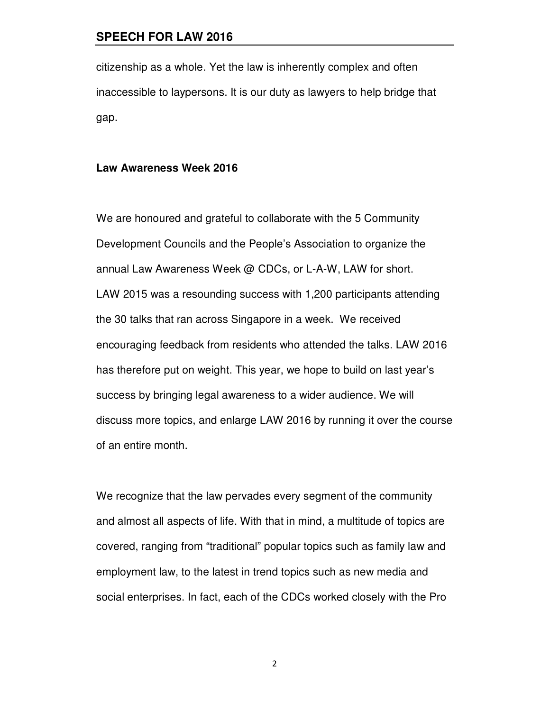citizenship as a whole. Yet the law is inherently complex and often inaccessible to laypersons. It is our duty as lawyers to help bridge that gap.

#### **Law Awareness Week 2016**

We are honoured and grateful to collaborate with the 5 Community Development Councils and the People's Association to organize the annual Law Awareness Week @ CDCs, or L-A-W, LAW for short. LAW 2015 was a resounding success with 1,200 participants attending the 30 talks that ran across Singapore in a week. We received encouraging feedback from residents who attended the talks. LAW 2016 has therefore put on weight. This year, we hope to build on last year's success by bringing legal awareness to a wider audience. We will discuss more topics, and enlarge LAW 2016 by running it over the course of an entire month.

We recognize that the law pervades every segment of the community and almost all aspects of life. With that in mind, a multitude of topics are covered, ranging from "traditional" popular topics such as family law and employment law, to the latest in trend topics such as new media and social enterprises. In fact, each of the CDCs worked closely with the Pro

2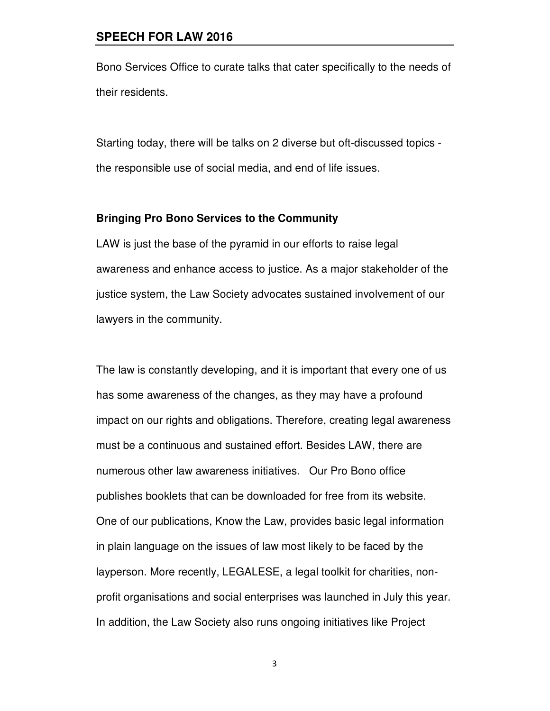Bono Services Office to curate talks that cater specifically to the needs of their residents.

Starting today, there will be talks on 2 diverse but oft-discussed topics the responsible use of social media, and end of life issues.

#### **Bringing Pro Bono Services to the Community**

LAW is just the base of the pyramid in our efforts to raise legal awareness and enhance access to justice. As a major stakeholder of the justice system, the Law Society advocates sustained involvement of our lawyers in the community.

The law is constantly developing, and it is important that every one of us has some awareness of the changes, as they may have a profound impact on our rights and obligations. Therefore, creating legal awareness must be a continuous and sustained effort. Besides LAW, there are numerous other law awareness initiatives. Our Pro Bono office publishes booklets that can be downloaded for free from its website. One of our publications, Know the Law, provides basic legal information in plain language on the issues of law most likely to be faced by the layperson. More recently, LEGALESE, a legal toolkit for charities, nonprofit organisations and social enterprises was launched in July this year. In addition, the Law Society also runs ongoing initiatives like Project

3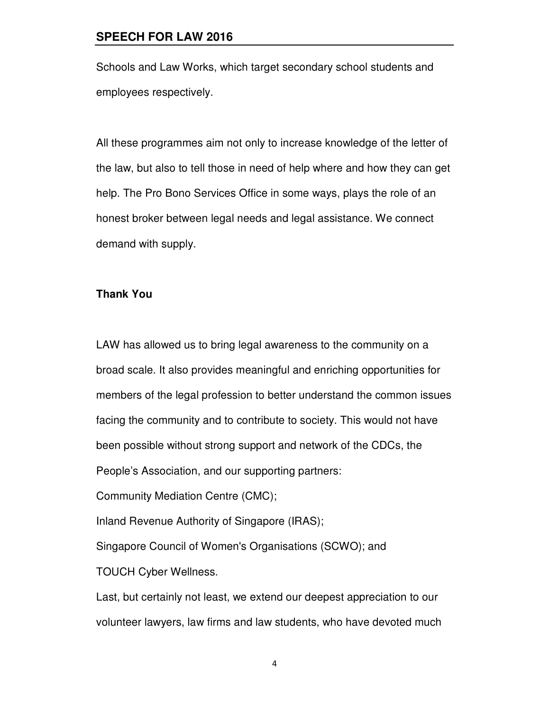Schools and Law Works, which target secondary school students and employees respectively.

All these programmes aim not only to increase knowledge of the letter of the law, but also to tell those in need of help where and how they can get help. The Pro Bono Services Office in some ways, plays the role of an honest broker between legal needs and legal assistance. We connect demand with supply.

#### **Thank You**

TOUCH Cyber Wellness.

LAW has allowed us to bring legal awareness to the community on a broad scale. It also provides meaningful and enriching opportunities for members of the legal profession to better understand the common issues facing the community and to contribute to society. This would not have been possible without strong support and network of the CDCs, the People's Association, and our supporting partners: Community Mediation Centre (CMC); Inland Revenue Authority of Singapore (IRAS); Singapore Council of Women's Organisations (SCWO); and

Last, but certainly not least, we extend our deepest appreciation to our volunteer lawyers, law firms and law students, who have devoted much

4